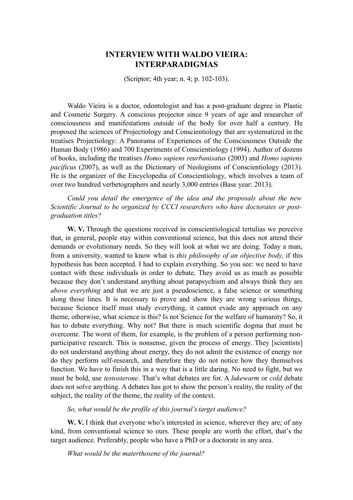# **INTERVIEW WITH WALDO VIEIRA: INTERPARADIGMAS**

(Scriptor; 4th year; n. 4; p. 102-103).

Waldo Vieira is a doctor, odontologist and has a post-graduate degree in Plastic and Cosmetic Surgery. A conscious projector since 9 years of age and researcher of consciousness and manifestations outside of the body for over half a century. He proposed the sciences of Projectiology and Conscientiology that are systematized in the treatises Projectiology: A Panorama of Experiences of the Consciousness Outside the Human Body (1986) and 700 Experiments of Conscientiology (1994). Author of dozens of books, including the treatises *Homo sapiens reurbanisatus* (2003) and *Homo sapiens pacificus* (2007), as well as the Dictionary of Neologisms of Conscientiology (2013). He is the organizer of the Encyclopedia of Conscientiology, which involves a team of over two hundred verbetographers and nearly 3,000 entries (Base year: 2013).

*Could you detail the emergence of the idea and the proposals about the new Scientific Journal to be organized by CCCI researchers who have doctorates or postgraduation titles?*

W. V. Through the questions received in conscientiological tertulias we perceive that, in general, people stay within conventional science, but this does not attend their demands or evolutionary needs. So they will look at what we are doing. Today a man, from a university, wanted to know what is *this philosophy of an objective body,* if this hypothesis has been accepted. I had to explain everything. So you see: we need to have contact with these individuals in order to debate. They avoid us as much as possible because they don't understand anything about parapsychism and always think they are *above everything* and that we are just a pseudoscience, a false science or something along those lines. It is necessary to prove and show they are wrong various things, because Science itself must study everything, it cannot evade any approach on any theme, otherwise, what science is this? Is not Science for the welfare of humanity? So, it has to debate everything. Why not? But there is much scientific dogma that must be overcome. The worst of them, for example, is the problem of a person performing nonparticipative research. This is nonsense, given the process of energy. They [scientists] do not understand anything about energy, they do not admit the existence of energy nor do they perform self-research, and therefore they do not notice how they themselves function. We have to finish this in a way that is a little daring. No need to fight, but we must be bold, use *testosterone*. That's what debates are for. A *lukewarm* or *cold* debate does not solve anything. A debates has got to show the person's reality, the reality of the subject, the reality of the theme, the reality of the context.

*So, what would be the profile of this journal's target audience?*

W. V. I think that everyone who's interested in science, wherever they are; of any kind, from conventional science to ours. These people are worth the effort, that's the target audience. Preferably, people who have a PhD or a doctorate in any area.

*What would be the materthosene of the journal?*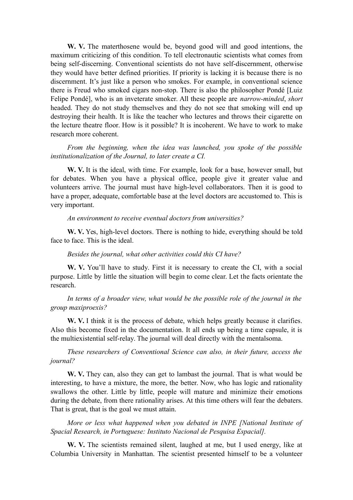W. V. The materthosene would be, beyond good will and good intentions, the maximum criticizing of this condition. To tell electronautic scientists what comes from being self-discerning. Conventional scientists do not have self-discernment, otherwise they would have better defined priorities. If priority is lacking it is because there is no discernment. It's just like a person who smokes. For example, in conventional science there is Freud who smoked cigars non-stop. There is also the philosopher Pondé [Luiz Felipe Pondé], who is an inveterate smoker. All these people are *narrow-minded*, *short* headed. They do not study themselves and they do not see that smoking will end up destroying their health. It is like the teacher who lectures and throws their cigarette on the lecture theatre floor. How is it possible? It is incoherent. We have to work to make research more coherent.

*From the beginning, when the idea was launched, you spoke of the possible institutionalization of the Journal, to later create a CI.*

**W. V.** It is the ideal, with time. For example, look for a base, however small, but for debates. When you have a physical office, people give it greater value and volunteers arrive. The journal must have high-level collaborators. Then it is good to have a proper, adequate, comfortable base at the level doctors are accustomed to. This is very important.

#### *An environment to receive eventual doctors from universities?*

**W. V.** Yes, high-level doctors. There is nothing to hide, everything should be told face to face. This is the ideal.

#### *Besides the journal, what other activities could this CI have?*

**W. V.** You'll have to study. First it is necessary to create the CI, with a social purpose. Little by little the situation will begin to come clear. Let the facts orientate the research.

*In terms of a broader view, what would be the possible role of the journal in the group maxiproexis?*

**W. V.** I think it is the process of debate, which helps greatly because it clarifies. Also this become fixed in the documentation. It all ends up being a time capsule, it is the multiexistential self-relay. The journal will deal directly with the mentalsoma.

*These researchers of Conventional Science can also, in their future, access the journal?*

W. V. They can, also they can get to lambast the journal. That is what would be interesting, to have a mixture, the more, the better. Now, who has logic and rationality swallows the other. Little by little, people will mature and minimize their emotions during the debate, from there rationality arises. At this time others will fear the debaters. That is great, that is the goal we must attain.

*More or less what happened when you debated in INPE [National Institute of Spacial Research, in Portuguese: Instituto Nacional de Pesquisa Espacial].*

**W. V.** The scientists remained silent, laughed at me, but I used energy, like at Columbia University in Manhattan. The scientist presented himself to be a volunteer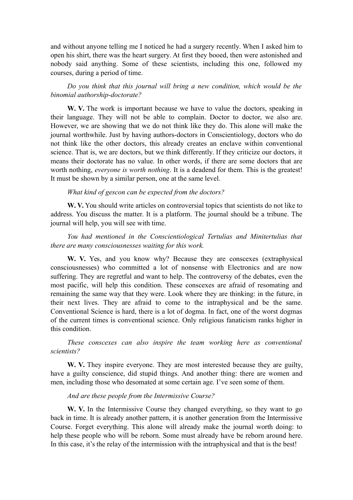and without anyone telling me I noticed he had a surgery recently. When I asked him to open his shirt, there was the heart surgery. At first they booed, then were astonished and nobody said anything. Some of these scientists, including this one, followed my courses, during a period of time.

*Do you think that this journal will bring a new condition, which would be the binomial authorship-doctorate?*

W. V. The work is important because we have to value the doctors, speaking in their language. They will not be able to complain. Doctor to doctor, we also are. However, we are showing that we do not think like they do. This alone will make the journal worthwhile. Just by having authors-doctors in Conscientiology, doctors who do not think like the other doctors, this already creates an enclave within conventional science. That is, we are doctors, but we think differently. If they criticize our doctors, it means their doctorate has no value. In other words, if there are some doctors that are worth nothing, *everyone is worth nothing*. It is a deadend for them. This is the greatest! It must be shown by a similar person, one at the same level.

## *What kind of gescon can be expected from the doctors?*

W. V. You should write articles on controversial topics that scientists do not like to address. You discuss the matter. It is a platform. The journal should be a tribune. The journal will help, you will see with time.

*You had mentioned in the Conscientiological Tertulias and Minitertulias that there are many consciousnesses waiting for this work.*

W. V. Yes, and you know why? Because they are conscexes (extraphysical consciousnesses) who committed a lot of nonsense with Electronics and are now suffering. They are regretful and want to help. The controversy of the debates, even the most pacific, will help this condition. These conscexes are afraid of resomating and remaining the same way that they were. Look where they are thinking: in the future, in their next lives. They are afraid to come to the intraphysical and be the same. Conventional Science is hard, there is a lot of dogma. In fact, one of the worst dogmas of the current times is conventional science. Only religious fanaticism ranks higher in this condition.

*These conscexes can also inspire the team working here as conventional scientists?*

W. V. They inspire everyone. They are most interested because they are guilty, have a guilty conscience, did stupid things. And another thing: there are women and men, including those who desomated at some certain age. I've seen some of them.

## *And are these people from the Intermissive Course?*

W. V. In the Intermissive Course they changed everything, so they want to go back in time. It is already another pattern, it is another generation from the Intermissive Course. Forget everything. This alone will already make the journal worth doing: to help these people who will be reborn. Some must already have be reborn around here. In this case, it's the relay of the intermission with the intraphysical and that is the best!